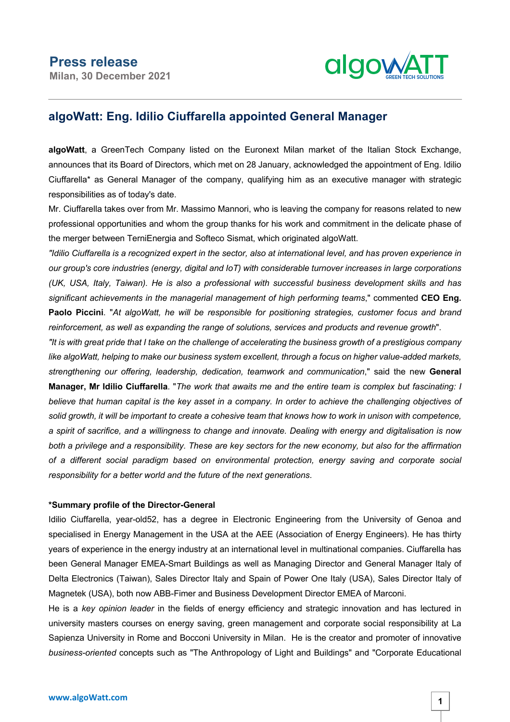

## **algoWatt: Eng. Idilio Ciuffarella appointed General Manager**

**algoWatt**, a GreenTech Company listed on the Euronext Milan market of the Italian Stock Exchange, announces that its Board of Directors, which met on 28 January, acknowledged the appointment of Eng. Idilio Ciuffarella\* as General Manager of the company, qualifying him as an executive manager with strategic responsibilities as of today's date.

Mr. Ciuffarella takes over from Mr. Massimo Mannori, who is leaving the company for reasons related to new professional opportunities and whom the group thanks for his work and commitment in the delicate phase of the merger between TerniEnergia and Softeco Sismat, which originated algoWatt.

"Idilio Ciuffarella is a recognized expert in the sector, also at international level, and has proven experience in *our group's core industries (energy, digital and IoT) with considerable turnover increases in large corporations (UK, USA, Italy, Taiwan). He is also a professional with successful business development skills and has significant achievements in the managerial management of high performing teams*," commented **CEO Eng. Paolo Piccini**. "*At algoWatt, he will be responsible for positioning strategies, customer focus and brand reinforcement, as well as expanding the range of solutions, services and products and revenue growth*".

"It is with great pride that I take on the challenge of accelerating the business growth of a prestigious company *like algoWatt, helping to make our business system excellent, through a focus on higher value-added markets, strengthening our offering, leadership, dedication, teamwork and communication*," said the new **General** Manager, Mr Idilio Ciuffarella. "The work that awaits me and the entire team is complex but fascinating: I believe that human capital is the key asset in a company. In order to achieve the challenging objectives of solid growth, it will be important to create a cohesive team that knows how to work in unison with competence, a spirit of sacrifice, and a willingness to change and innovate. Dealing with energy and digitalisation is now both a privilege and a responsibility. These are key sectors for the new economy, but also for the affirmation *of a different social paradigm based on environmental protection, energy saving and corporate social responsibility for a better world and the future of the next generations*.

## **\*Summary profile of the Director-General**

Idilio Ciuffarella, year-old52, has a degree in Electronic Engineering from the University of Genoa and specialised in Energy Management in the USA at the AEE (Association of Energy Engineers). He has thirty years of experience in the energy industry at an international level in multinational companies. Ciuffarella has been General Manager EMEA-Smart Buildings as well as Managing Director and General Manager Italy of Delta Electronics (Taiwan), Sales Director Italy and Spain of Power One Italy (USA), Sales Director Italy of Magnetek (USA), both now ABB-Fimer and Business Development Director EMEA of Marconi.

He is a *key opinion leader* in the fields of energy efficiency and strategic innovation and has lectured in university masters courses on energy saving, green management and corporate social responsibility at La Sapienza University in Rome and Bocconi University in Milan. He is the creator and promoter of innovative *business-oriented* concepts such as "The Anthropology of Light and Buildings" and "Corporate Educational